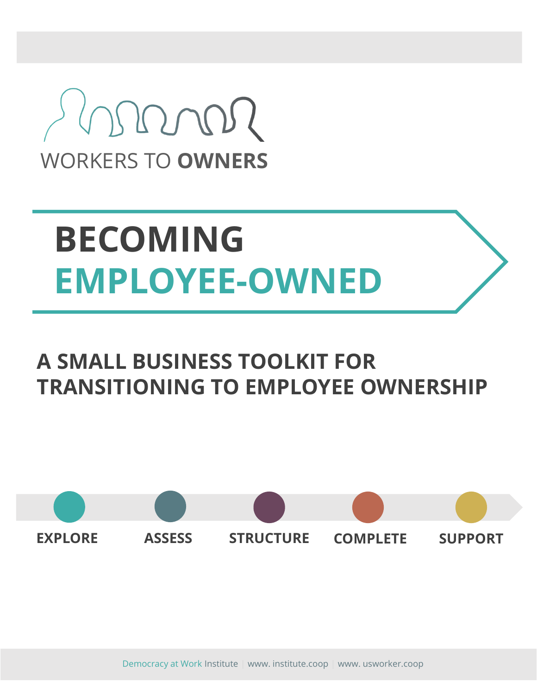

# **BECOMING EMPLOYEE-OWNED**

# **A SMALL BUSINESS TOOLKIT FOR TRANSITIONING TO EMPLOYEE OWNERSHIP**



Democracy at Work Institute | www. institute.coop | www. usworker.coop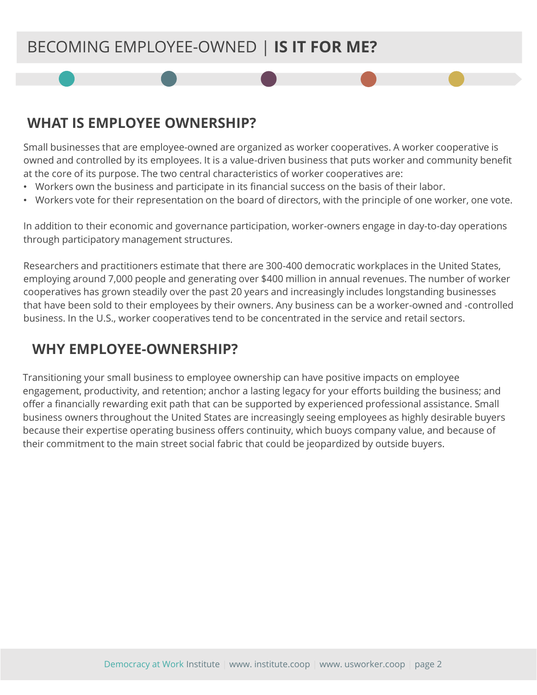## BECOMING EMPLOYEE-OWNED | **IS IT FOR ME?**

## **WHAT IS EMPLOYEE OWNERSHIP?**

Small businesses that are employee-owned are organized as worker cooperatives. A worker cooperative is owned and controlled by its employees. It is a value-driven business that puts worker and community benefit at the core of its purpose. The two central characteristics of worker cooperatives are:

- Workers own the business and participate in its financial success on the basis of their labor.
- Workers vote for their representation on the board of directors, with the principle of one worker, one vote.

In addition to their economic and governance participation, worker-owners engage in day-to-day operations through participatory management structures.

Researchers and practitioners estimate that there are 300-400 democratic workplaces in the United States, employing around 7,000 people and generating over \$400 million in annual revenues. The number of worker cooperatives has grown steadily over the past 20 years and increasingly includes longstanding businesses that have been sold to their employees by their owners. Any business can be a worker-owned and -controlled business. In the U.S., worker cooperatives tend to be concentrated in the service and retail sectors.

## **WHY EMPLOYEE-OWNERSHIP?**

Transitioning your small business to employee ownership can have positive impacts on employee engagement, productivity, and retention; anchor a lasting legacy for your efforts building the business; and offer a financially rewarding exit path that can be supported by experienced professional assistance. Small business owners throughout the United States are increasingly seeing employees as highly desirable buyers because their expertise operating business offers continuity, which buoys company value, and because of their commitment to the main street social fabric that could be jeopardized by outside buyers.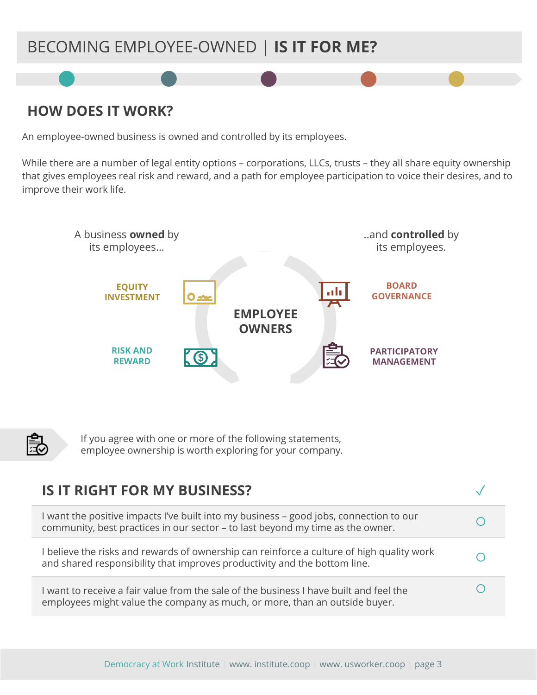## BECOMING EMPLOYEE-OWNED | **IS IT FOR ME?**

## **HOW DOES IT WORK?**

An employee-owned business is owned and controlled by its employees.

While there are a number of legal entity options – corporations, LLCs, trusts – they all share equity ownership that gives employees real risk and reward, and a path for employee participation to voice their desires, and to improve their work life.





If you agree with one or more of the following statements, employee ownership is worth exploring for your company.

| <b>IS IT RIGHT FOR MY BUSINESS?</b>                                                                                                                                      |  |
|--------------------------------------------------------------------------------------------------------------------------------------------------------------------------|--|
| I want the positive impacts I've built into my business - good jobs, connection to our<br>community, best practices in our sector - to last beyond my time as the owner. |  |
| I believe the risks and rewards of ownership can reinforce a culture of high quality work<br>and shared responsibility that improves productivity and the bottom line.   |  |
| I want to receive a fair value from the sale of the business I have built and feel the<br>employees might value the company as much, or more, than an outside buyer.     |  |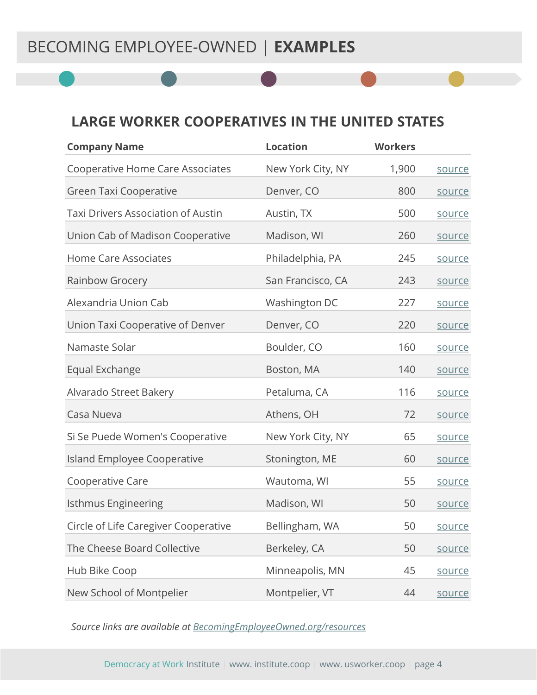#### **LARGE WORKER COOPERATIVES IN THE UNITED STATES**

| <b>Company Name</b>                       | <b>Location</b>   | <b>Workers</b> |        |
|-------------------------------------------|-------------------|----------------|--------|
| <b>Cooperative Home Care Associates</b>   | New York City, NY | 1,900          | source |
| <b>Green Taxi Cooperative</b>             | Denver, CO        | 800            | source |
| <b>Taxi Drivers Association of Austin</b> | Austin, TX        | 500            | source |
| Union Cab of Madison Cooperative          | Madison, WI       | 260            | source |
| <b>Home Care Associates</b>               | Philadelphia, PA  | 245            | source |
| Rainbow Grocery                           | San Francisco, CA | 243            | source |
| Alexandria Union Cab                      | Washington DC     | 227            | source |
| Union Taxi Cooperative of Denver          | Denver, CO        | 220            | source |
| Namaste Solar                             | Boulder, CO       | 160            | source |
| Equal Exchange                            | Boston, MA        | 140            | source |
| Alvarado Street Bakery                    | Petaluma, CA      | 116            | source |
| Casa Nueva                                | Athens, OH        | 72             | source |
| Si Se Puede Women's Cooperative           | New York City, NY | 65             | source |
| <b>Island Employee Cooperative</b>        | Stonington, ME    | 60             | source |
| Cooperative Care                          | Wautoma, WI       | 55             | source |
| <b>Isthmus Engineering</b>                | Madison, WI       | 50             | source |
| Circle of Life Caregiver Cooperative      | Bellingham, WA    | 50             | source |
| The Cheese Board Collective               | Berkeley, CA      | 50             | source |
| Hub Bike Coop                             | Minneapolis, MN   | 45             | source |
| New School of Montpelier                  | Montpelier, VT    | 44             | source |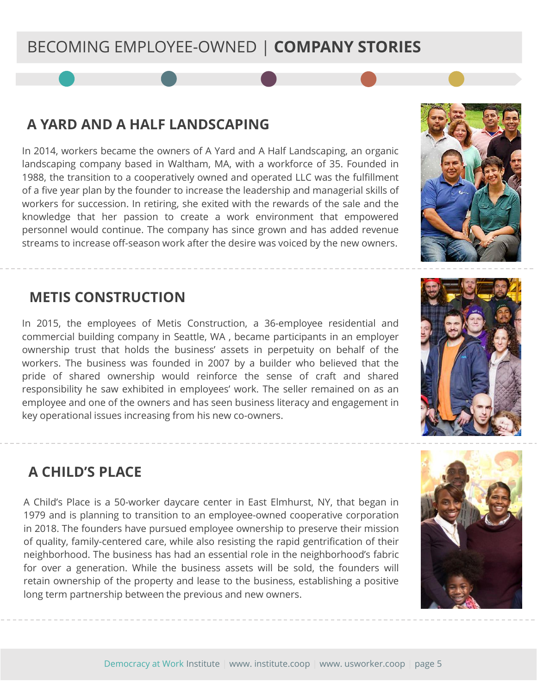## BECOMING EMPLOYEE-OWNED | **COMPANY STORIES**

#### **A YARD AND A HALF LANDSCAPING**

In 2014, workers became the owners of A Yard and A Half Landscaping, an organic landscaping company based in Waltham, MA, with a workforce of 35. Founded in 1988, the transition to a cooperatively owned and operated LLC was the fulfillment of a five year plan by the founder to increase the leadership and managerial skills of workers for succession. In retiring, she exited with the rewards of the sale and the knowledge that her passion to create a work environment that empowered personnel would continue. The company has since grown and has added revenue streams to increase off-season work after the desire was voiced by the new owners.

#### **METIS CONSTRUCTION**

In 2015, the employees of Metis Construction, a 36-employee residential and commercial building company in Seattle, WA , became participants in an employer ownership trust that holds the business' assets in perpetuity on behalf of the workers. The business was founded in 2007 by a builder who believed that the pride of shared ownership would reinforce the sense of craft and shared responsibility he saw exhibited in employees' work. The seller remained on as an employee and one of the owners and has seen business literacy and engagement in key operational issues increasing from his new co-owners.

## **A CHILD'S PLACE**

A Child's Place is a 50-worker daycare center in East Elmhurst, NY, that began in 1979 and is planning to transition to an employee-owned cooperative corporation in 2018. The founders have pursued employee ownership to preserve their mission of quality, family-centered care, while also resisting the rapid gentrification of their neighborhood. The business has had an essential role in the neighborhood's fabric for over a generation. While the business assets will be sold, the founders will retain ownership of the property and lease to the business, establishing a positive long term partnership between the previous and new owners.

Democracy at Work Institute | www. institute.coop | www. usworker.coop | page 5





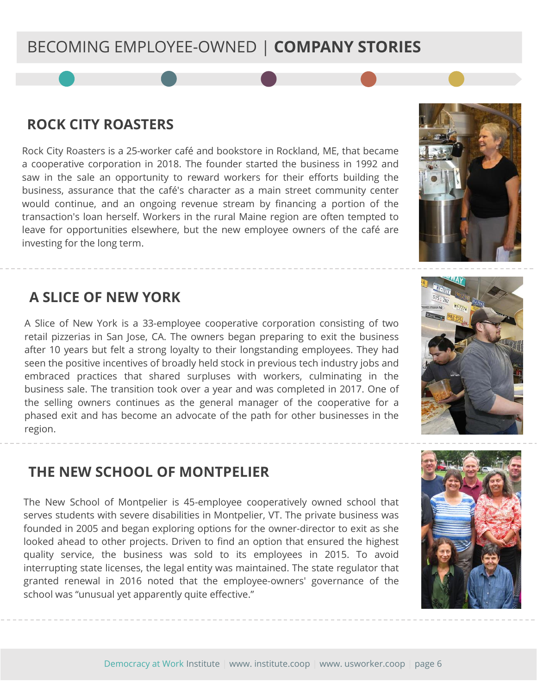## BECOMING EMPLOYEE-OWNED | **COMPANY STORIES**

#### **ROCK CITY ROASTERS**

Rock City Roasters is a 25-worker café and bookstore in Rockland, ME, that became a cooperative corporation in 2018. The founder started the business in 1992 and saw in the sale an opportunity to reward workers for their efforts building the business, assurance that the café's character as a main street community center would continue, and an ongoing revenue stream by financing a portion of the transaction's loan herself. Workers in the rural Maine region are often tempted to leave for opportunities elsewhere, but the new employee owners of the café are investing for the long term.

#### **A SLICE OF NEW YORK**

A Slice of New York is a 33-employee cooperative corporation consisting of two retail pizzerias in San Jose, CA. The owners began preparing to exit the business after 10 years but felt a strong loyalty to their longstanding employees. They had seen the positive incentives of broadly held stock in previous tech industry jobs and embraced practices that shared surpluses with workers, culminating in the business sale. The transition took over a year and was completed in 2017. One of the selling owners continues as the general manager of the cooperative for a phased exit and has become an advocate of the path for other businesses in the region.

#### **THE NEW SCHOOL OF MONTPELIER**

The New School of Montpelier is 45-employee cooperatively owned school that serves students with severe disabilities in Montpelier, VT. The private business was founded in 2005 and began exploring options for the owner-director to exit as she looked ahead to other projects. Driven to find an option that ensured the highest quality service, the business was sold to its employees in 2015. To avoid interrupting state licenses, the legal entity was maintained. The state regulator that granted renewal in 2016 noted that the employee-owners' governance of the school was "unusual yet apparently quite effective."

Democracy at Work Institute | www. institute.coop | www. usworker.coop | page 6





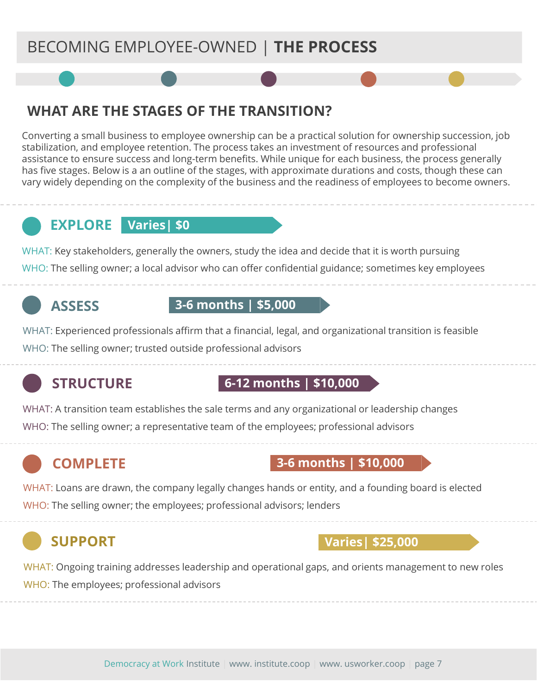## BECOMING EMPLOYEE-OWNED | **THE PROCESS**

## **WHAT ARE THE STAGES OF THE TRANSITION?**

Converting a small business to employee ownership can be a practical solution for ownership succession, job stabilization, and employee retention. The process takes an investment of resources and professional assistance to ensure success and long-term benefits. While unique for each business, the process generally has five stages. Below is a an outline of the stages, with approximate durations and costs, though these can vary widely depending on the complexity of the business and the readiness of employees to become owners.

## **EXPLORE Varies| \$0**

WHAT: Key stakeholders, generally the owners, study the idea and decide that it is worth pursuing WHO: The selling owner; a local advisor who can offer confidential guidance; sometimes key employees

## **ASSESS**

#### **3-6 months | \$5,000**

WHAT: Experienced professionals affirm that a financial, legal, and organizational transition is feasible WHO: The selling owner; trusted outside professional advisors

## **STRUCTURE**

#### **6-12 months | \$10,000**

WHAT: A transition team establishes the sale terms and any organizational or leadership changes WHO: The selling owner; a representative team of the employees; professional advisors

## **COMPLETE**

#### **3-6 months | \$10,000**

WHAT: Loans are drawn, the company legally changes hands or entity, and a founding board is elected WHO: The selling owner; the employees; professional advisors; lenders

## **SUPPORT**

#### **Varies| \$25,000**

WHAT: Ongoing training addresses leadership and operational gaps, and orients management to new roles WHO: The employees; professional advisors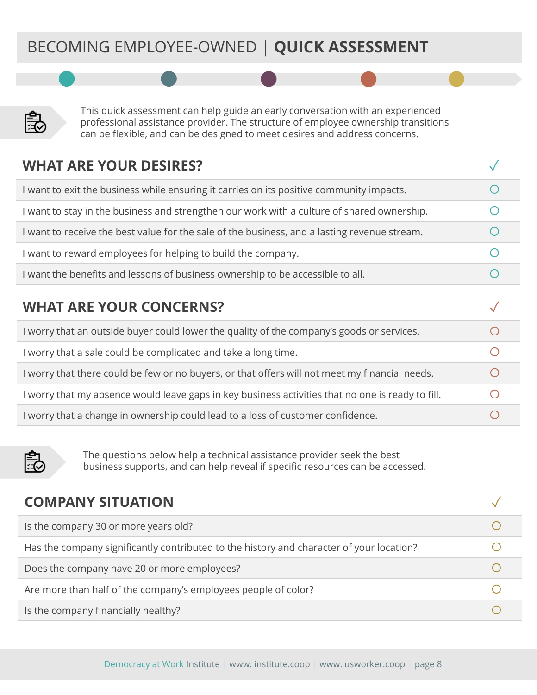## BECOMING EMPLOYEE-OWNED | **QUICK ASSESSMENT**



This quick assessment can help guide an early conversation with an experienced professional assistance provider. The structure of employee ownership transitions can be flexible, and can be designed to meet desires and address concerns.

| <b>WHAT ARE YOUR DESIRES?</b>                                                                     |           |
|---------------------------------------------------------------------------------------------------|-----------|
| I want to exit the business while ensuring it carries on its positive community impacts.          |           |
| I want to stay in the business and strengthen our work with a culture of shared ownership.        | $\bigcap$ |
| I want to receive the best value for the sale of the business, and a lasting revenue stream.      | $\bigcap$ |
| I want to reward employees for helping to build the company.                                      | $\bigcap$ |
| I want the benefits and lessons of business ownership to be accessible to all.                    |           |
|                                                                                                   |           |
| <b>WHAT ARE YOUR CONCERNS?</b>                                                                    |           |
| I worry that an outside buyer could lower the quality of the company's goods or services.         | ∩         |
| I worry that a sale could be complicated and take a long time.                                    | $\bigcap$ |
| I worry that there could be few or no buyers, or that offers will not meet my financial needs.    |           |
| I worry that my absence would leave gaps in key business activities that no one is ready to fill. |           |
| I worry that a change in ownership could lead to a loss of customer confidence.                   |           |



The questions below help a technical assistance provider seek the best business supports, and can help reveal if specific resources can be accessed.

| <b>COMPANY SITUATION</b>                                                                 |  |
|------------------------------------------------------------------------------------------|--|
| Is the company 30 or more years old?                                                     |  |
| Has the company significantly contributed to the history and character of your location? |  |
| Does the company have 20 or more employees?                                              |  |
| Are more than half of the company's employees people of color?                           |  |
| Is the company financially healthy?                                                      |  |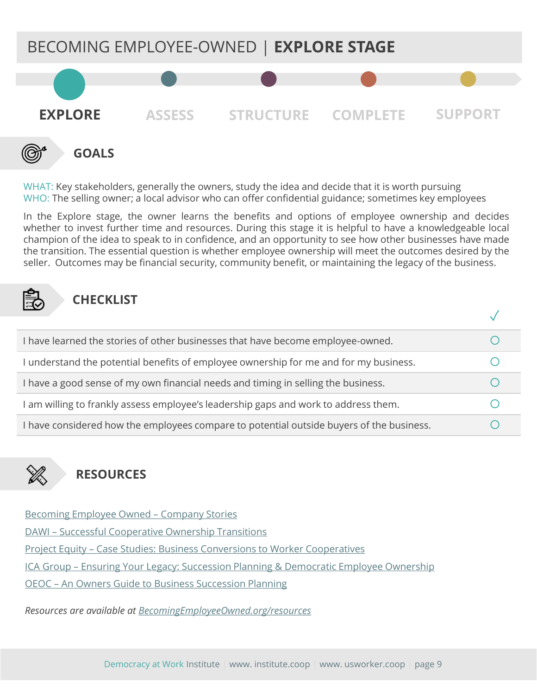

WHAT: Key stakeholders, generally the owners, study the idea and decide that it is worth pursuing WHO: The selling owner; a local advisor who can offer confidential guidance; sometimes key employees

In the Explore stage, the owner learns the benefits and options of employee ownership and decides whether to invest further time and resources. During this stage it is helpful to have a knowledgeable local champion of the idea to speak to in confidence, and an opportunity to see how other businesses have made the transition. The essential question is whether employee ownership will meet the outcomes desired by the seller. Outcomes may be financial security, community benefit, or maintaining the legacy of the business.



#### **CHECKLIST**

| I have learned the stories of other businesses that have become employee-owned.          |  |
|------------------------------------------------------------------------------------------|--|
| I understand the potential benefits of employee ownership for me and for my business.    |  |
| I have a good sense of my own financial needs and timing in selling the business.        |  |
| I am willing to frankly assess employee's leadership gaps and work to address them.      |  |
| I have considered how the employees compare to potential outside buyers of the business. |  |



## **RESOURCES**

[Becoming Employee Owned](http://becomingemployeeowned.org/stories/) – Company Stories

DAWI – [Successful Cooperative Ownership Transitions](https://drive.google.com/open?id=0BypebnwZOxymS0t5SGpFaGxabFk)

Project Equity – [Case Studies: Business Conversions to Worker Cooperatives](https://drive.google.com/open?id=0BypebnwZOxymWFlGelhIbWNhY1U)

ICA Group – Ensuring Your Legacy: [Succession Planning & Democratic Employee Ownership](https://drive.google.com/open?id=1ahayVt22rXp4LIErjkT272nZlpOxpTO2)

OEOC – [An Owners Guide to Business Succession Planning](https://drive.google.com/open?id=0BypebnwZOxymazFCR3dUS1lsN3M)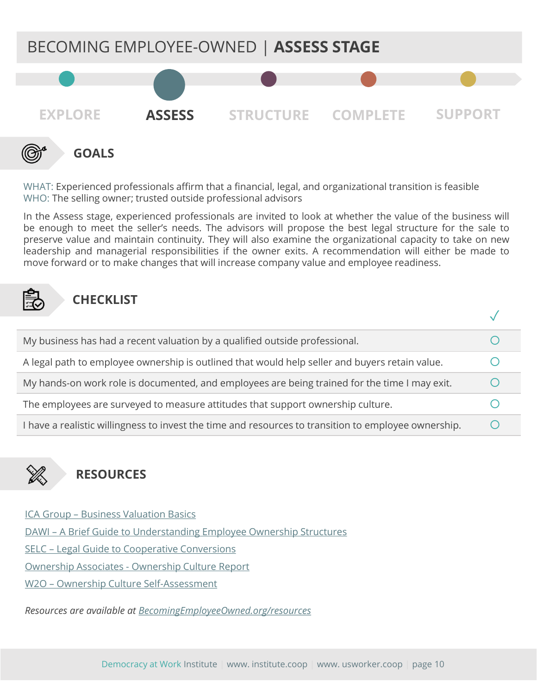

WHAT: Experienced professionals affirm that a financial, legal, and organizational transition is feasible WHO: The selling owner; trusted outside professional advisors

In the Assess stage, experienced professionals are invited to look at whether the value of the business will be enough to meet the seller's needs. The advisors will propose the best legal structure for the sale to preserve value and maintain continuity. They will also examine the organizational capacity to take on new leadership and managerial responsibilities if the owner exits. A recommendation will either be made to move forward or to make changes that will increase company value and employee readiness.

#### **CHECKLIST**

| My business has had a recent valuation by a qualified outside professional.                          |  |
|------------------------------------------------------------------------------------------------------|--|
| A legal path to employee ownership is outlined that would help seller and buyers retain value.       |  |
| My hands-on work role is documented, and employees are being trained for the time I may exit.        |  |
| The employees are surveyed to measure attitudes that support ownership culture.                      |  |
| I have a realistic willingness to invest the time and resources to transition to employee ownership. |  |



## **RESOURCES**

ICA Group – [Business Valuation Basics](https://drive.google.com/open?id=1yvWz8OW4oZQtRWq-gVlPc0f3wnJfbvmS) DAWI – [A Brief Guide to Understanding Employee Ownership Structures](https://drive.google.com/open?id=1wsIKzbOOyLwNLNP71ygGWpBHoZ20eXiQ) SELC – [Legal Guide to Cooperative Conversions](https://drive.google.com/open?id=1wsIKzbOOyLwNLNP71ygGWpBHoZ20eXiQ) Ownership Associates - [Ownership Culture Report](https://drive.google.com/open?id=1PlfUa9snxfzhlJ3KzYl6zLGvyV4p4b90) W2O – [Ownership Culture Self-Assessment](https://drive.google.com/open?id=1OMvXesCzmpaJrUGD0jzqUJfBGmARxojD)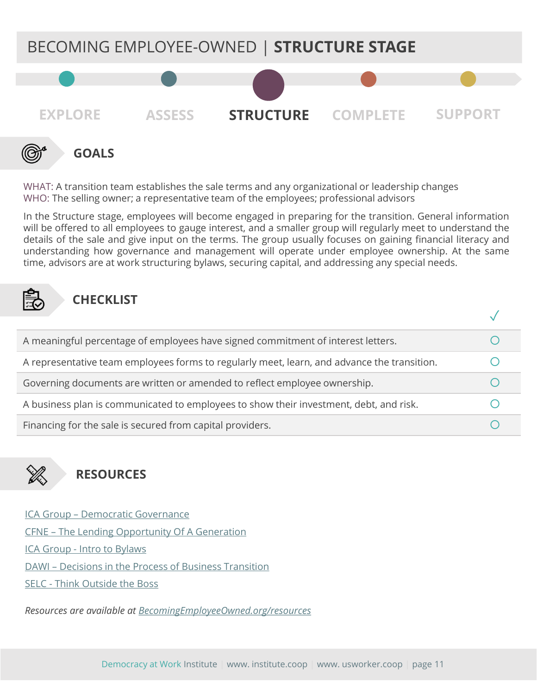

WHAT: A transition team establishes the sale terms and any organizational or leadership changes WHO: The selling owner; a representative team of the employees; professional advisors

In the Structure stage, employees will become engaged in preparing for the transition. General information will be offered to all employees to gauge interest, and a smaller group will regularly meet to understand the details of the sale and give input on the terms. The group usually focuses on gaining financial literacy and understanding how governance and management will operate under employee ownership. At the same time, advisors are at work structuring bylaws, securing capital, and addressing any special needs.



#### **CHECKLIST**

| A meaningful percentage of employees have signed commitment of interest letters.            |  |
|---------------------------------------------------------------------------------------------|--|
| A representative team employees forms to regularly meet, learn, and advance the transition. |  |
| Governing documents are written or amended to reflect employee ownership.                   |  |
| A business plan is communicated to employees to show their investment, debt, and risk.      |  |
| Financing for the sale is secured from capital providers.                                   |  |



## **RESOURCES**

ICA Group – [Democratic Governance](https://drive.google.com/open?id=1vGjHBnhtievoSH-w7nPnuCs84WjVrI-y) CFNE – [The Lending Opportunity Of A Generation](https://drive.google.com/open?id=0BypebnwZOxymZXhjZzc1ZXFFczg) ICA Group - [Intro to Bylaws](https://drive.google.com/open?id=1dBPbKabzTTcqrNQeYUZe3FkB5NzaChOx) DAWI – [Decisions in the Process of Business Transition](https://drive.google.com/open?id=1R9eLx-kk6jlwjPlOS-4nVjrd40_Pwpd_) SELC - [Think Outside the Boss](https://drive.google.com/open?id=1mzAOaVQYULFzA9OyiGfnDNorsUCA4aoc)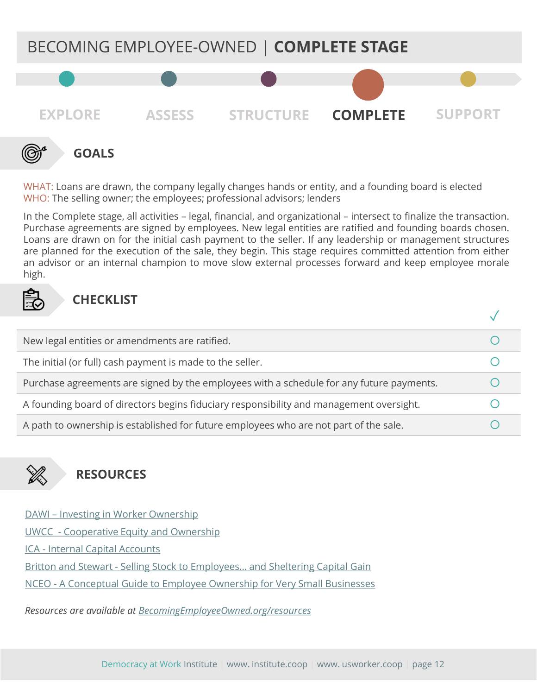

WHAT: Loans are drawn, the company legally changes hands or entity, and a founding board is elected WHO: The selling owner; the employees; professional advisors; lenders

In the Complete stage, all activities – legal, financial, and organizational – intersect to finalize the transaction. Purchase agreements are signed by employees. New legal entities are ratified and founding boards chosen. Loans are drawn on for the initial cash payment to the seller. If any leadership or management structures are planned for the execution of the sale, they begin. This stage requires committed attention from either an advisor or an internal champion to move slow external processes forward and keep employee morale high.



#### **CHECKLIST**

| New legal entities or amendments are ratified.                                           |  |
|------------------------------------------------------------------------------------------|--|
| The initial (or full) cash payment is made to the seller.                                |  |
| Purchase agreements are signed by the employees with a schedule for any future payments. |  |
| A founding board of directors begins fiduciary responsibility and management oversight.  |  |
| A path to ownership is established for future employees who are not part of the sale.    |  |



## **RESOURCES**

DAWI – [Investing in Worker Ownership](https://drive.google.com/open?id=18LqWCMrScHbD4gWFZfTBGF9xRCBO0vjM)

UWCC - [Cooperative Equity and Ownership](https://drive.google.com/open?id=1jDT0LtsXgPNTpPRm71FM5-R3BYmn-6mt)

ICA - [Internal Capital Accounts](https://drive.google.com/open?id=1AgCoxhEmRNPV_Oz2DACgeQoAuc1KN9aS)

Britton and Stewart - [Selling Stock to Employees… and Sheltering Capital Gain](https://drive.google.com/open?id=1UuXOTfXIYevdHD1god673ZW_lk8sY9gd)

NCEO - [A Conceptual Guide to Employee Ownership for Very Small Businesses](https://www.nceo.org/articles/employee-ownership-very-small-businesses)